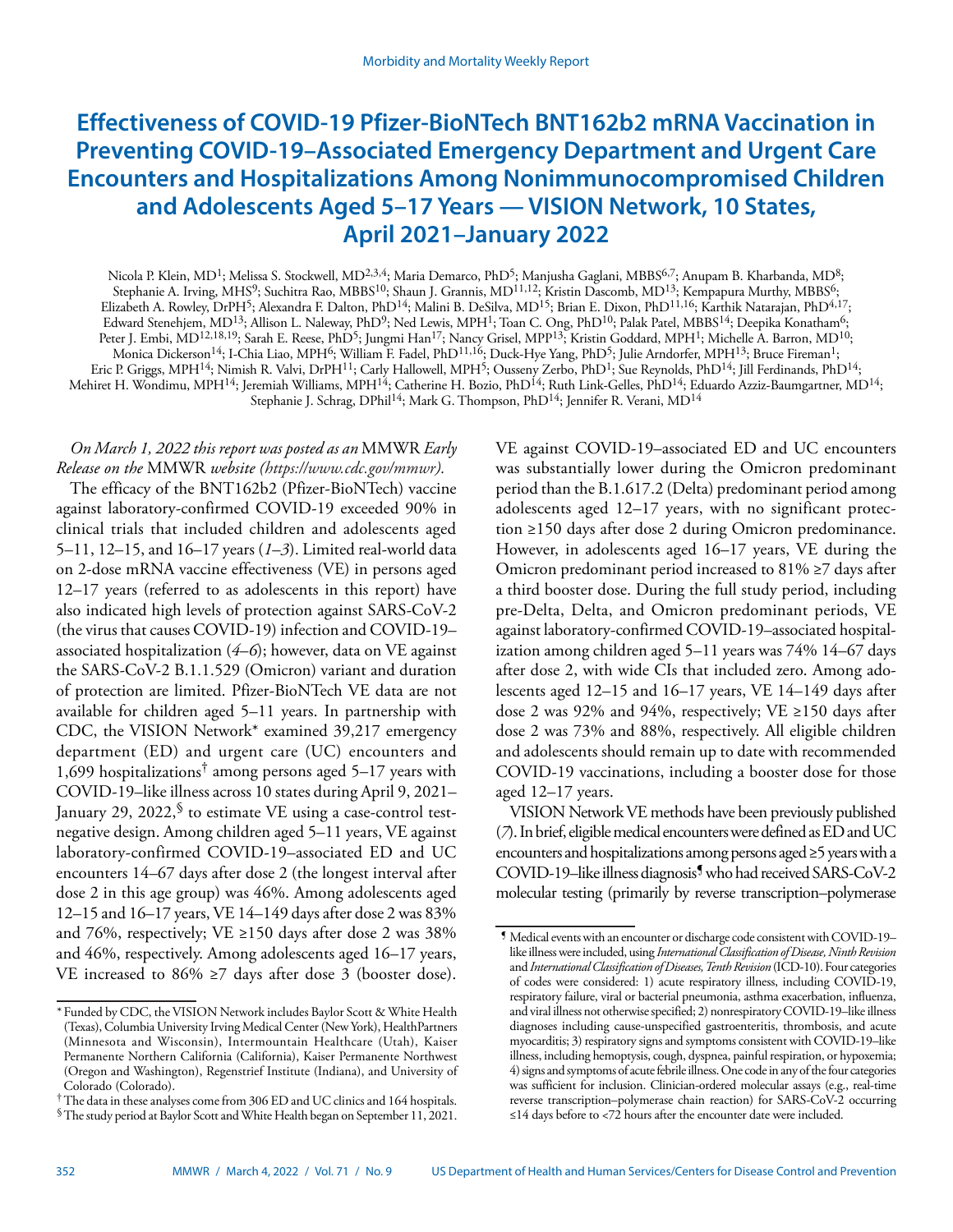# **Effectiveness of COVID-19 Pfizer-BioNTech BNT162b2 mRNA Vaccination in Preventing COVID-19–Associated Emergency Department and Urgent Care Encounters and Hospitalizations Among Nonimmunocompromised Children and Adolescents Aged 5–17 Years — VISION Network, 10 States, April 2021–January 2022**

Nicola P. Klein, MD<sup>1</sup>; Melissa S. Stockwell, MD<sup>2,3,4</sup>; Maria Demarco, PhD<sup>5</sup>; Manjusha Gaglani, MBBS<sup>6,7</sup>; Anupam B. Kharbanda, MD<sup>8</sup>; Stephanie A. Irving, MHS<sup>9</sup>; Suchitra Rao, MBBS<sup>10</sup>; Shaun J. Grannis, MD<sup>11,12</sup>; Kristin Dascomb, MD<sup>13</sup>; Kempapura Murthy, MBBS<sup>6</sup>; Elizabeth A. Rowley, DrPH<sup>5</sup>; Alexandra F. Dalton, PhD<sup>14</sup>; Malini B. DeSilva, MD<sup>15</sup>; Brian E. Dixon, PhD<sup>11,16</sup>; Karthik Natarajan, PhD<sup>4,17</sup>; Edward Stenehjem, MD<sup>13</sup>; Allison L. Naleway, PhD<sup>9</sup>; Ned Lewis, MPH<sup>1</sup>; Toan C. Ong, PhD<sup>10</sup>; Palak Patel, MBBS<sup>14</sup>; Deepika Konatham<sup>6</sup>; Peter J. Embi, MD<sup>12,18,19</sup>; Sarah E. Reese, PhD<sup>5</sup>; Jungmi Han<sup>17</sup>; Nancy Grisel, MPP<sup>13</sup>; Kristin Goddard, MPH<sup>1</sup>; Michelle A. Barron, MD<sup>10</sup>; Monica Dickerson<sup>14</sup>; I-Chia Liao, MPH<sup>6</sup>; William F. Fadel, PhD<sup>11,16</sup>; Duck-Hye Yang, PhD<sup>5</sup>; Julie Arndorfer, MPH<sup>13</sup>; Bruce Fireman<sup>1</sup>; Eric P. Griggs, MPH<sup>14</sup>; Nimish R. Valvi, DrPH<sup>11</sup>; Carly Hallowell, MPH<sup>5</sup>; Ousseny Zerbo, PhD<sup>1</sup>; Sue Reynolds, PhD<sup>14</sup>; Jill Ferdinands, PhD<sup>14</sup>; Mehiret H. Wondimu, MPH<sup>14</sup>; Jeremiah Williams, MPH<sup>14</sup>; Catherine H. Bozio, PhD<sup>14</sup>; Ruth Link-Gelles, PhD<sup>14</sup>; Eduardo Azziz-Baumgartner, MD<sup>14</sup>; Stephanie J. Schrag, DPhil<sup>14</sup>; Mark G. Thompson, PhD<sup>14</sup>; Jennifer R. Verani, MD<sup>14</sup>

# *On March 1, 2022 this report was posted as an* MMWR *Early Release on the* MMWR *website [\(https://www.cdc.gov/mmwr\)](https://www.cdc.gov/mmwr).*

The efficacy of the BNT162b2 (Pfizer-BioNTech) vaccine against laboratory-confirmed COVID-19 exceeded 90% in clinical trials that included children and adolescents aged 5–11, 12–15, and 16–17 years (*1*–*3*). Limited real-world data on 2-dose mRNA vaccine effectiveness (VE) in persons aged 12–17 years (referred to as adolescents in this report) have also indicated high levels of protection against SARS-CoV-2 (the virus that causes COVID-19) infection and COVID-19– associated hospitalization (*4*–*6*); however, data on VE against the SARS-CoV-2 B.1.1.529 (Omicron) variant and duration of protection are limited. Pfizer-BioNTech VE data are not available for children aged 5–11 years. In partnership with CDC, the VISION Network\* examined 39,217 emergency department (ED) and urgent care (UC) encounters and 1,699 hospitalizations<sup>†</sup> among persons aged 5–17 years with COVID-19–like illness across 10 states during April 9, 2021– January 29, 2022, $\frac{1}{2}$  to estimate VE using a case-control testnegative design. Among children aged 5–11 years, VE against laboratory-confirmed COVID-19–associated ED and UC encounters 14–67 days after dose 2 (the longest interval after dose 2 in this age group) was 46%. Among adolescents aged 12–15 and 16–17 years, VE 14–149 days after dose 2 was 83% and 76%, respectively; VE  $\geq$ 150 days after dose 2 was 38% and 46%, respectively. Among adolescents aged 16–17 years, VE increased to 86% ≥7 days after dose 3 (booster dose).

VE against COVID-19–associated ED and UC encounters was substantially lower during the Omicron predominant period than the B.1.617.2 (Delta) predominant period among adolescents aged 12–17 years, with no significant protection ≥150 days after dose 2 during Omicron predominance. However, in adolescents aged 16–17 years, VE during the Omicron predominant period increased to  $81\% \geq 7$  days after a third booster dose. During the full study period, including pre-Delta, Delta, and Omicron predominant periods, VE against laboratory-confirmed COVID-19–associated hospitalization among children aged 5–11 years was 74% 14–67 days after dose 2, with wide CIs that included zero. Among adolescents aged 12–15 and 16–17 years, VE 14–149 days after dose 2 was 92% and 94%, respectively; VE ≥150 days after dose 2 was 73% and 88%, respectively. All eligible children and adolescents should remain up to date with recommended COVID-19 vaccinations, including a booster dose for those aged 12–17 years.

VISION Network VE methods have been previously published (*7*). In brief, eligible medical encounters were defined as ED and UC encounters and hospitalizations among persons aged ≥5 years with a COVID-19–like illness diagnosis¶ who had received SARS-CoV-2 molecular testing (primarily by reverse transcription–polymerase

<sup>\*</sup> Funded by CDC, the VISION Network includes Baylor Scott & White Health (Texas), Columbia University Irving Medical Center (New York), HealthPartners (Minnesota and Wisconsin), Intermountain Healthcare (Utah), Kaiser Permanente Northern California (California), Kaiser Permanente Northwest (Oregon and Washington), Regenstrief Institute (Indiana), and University of Colorado (Colorado).

<sup>†</sup>The data in these analyses come from 306 ED and UC clinics and 164 hospitals.

<sup>§</sup>The study period at Baylor Scott and White Health began on September 11, 2021.

<sup>¶</sup> Medical events with an encounter or discharge code consistent with COVID-19– like illness were included, using *International Classification of Disease, Ninth Revision* and *International Classification of Diseases, Tenth Revision* (ICD-10). Four categories of codes were considered: 1) acute respiratory illness, including COVID-19, respiratory failure, viral or bacterial pneumonia, asthma exacerbation, influenza, and viral illness not otherwise specified; 2) nonrespiratory COVID-19–like illness diagnoses including cause-unspecified gastroenteritis, thrombosis, and acute myocarditis; 3) respiratory signs and symptoms consistent with COVID-19–like illness, including hemoptysis, cough, dyspnea, painful respiration, or hypoxemia; 4) signs and symptoms of acute febrile illness. One code in any of the four categories was sufficient for inclusion. Clinician-ordered molecular assays (e.g., real-time reverse transcription–polymerase chain reaction) for SARS-CoV-2 occurring ≤14 days before to <72 hours after the encounter date were included.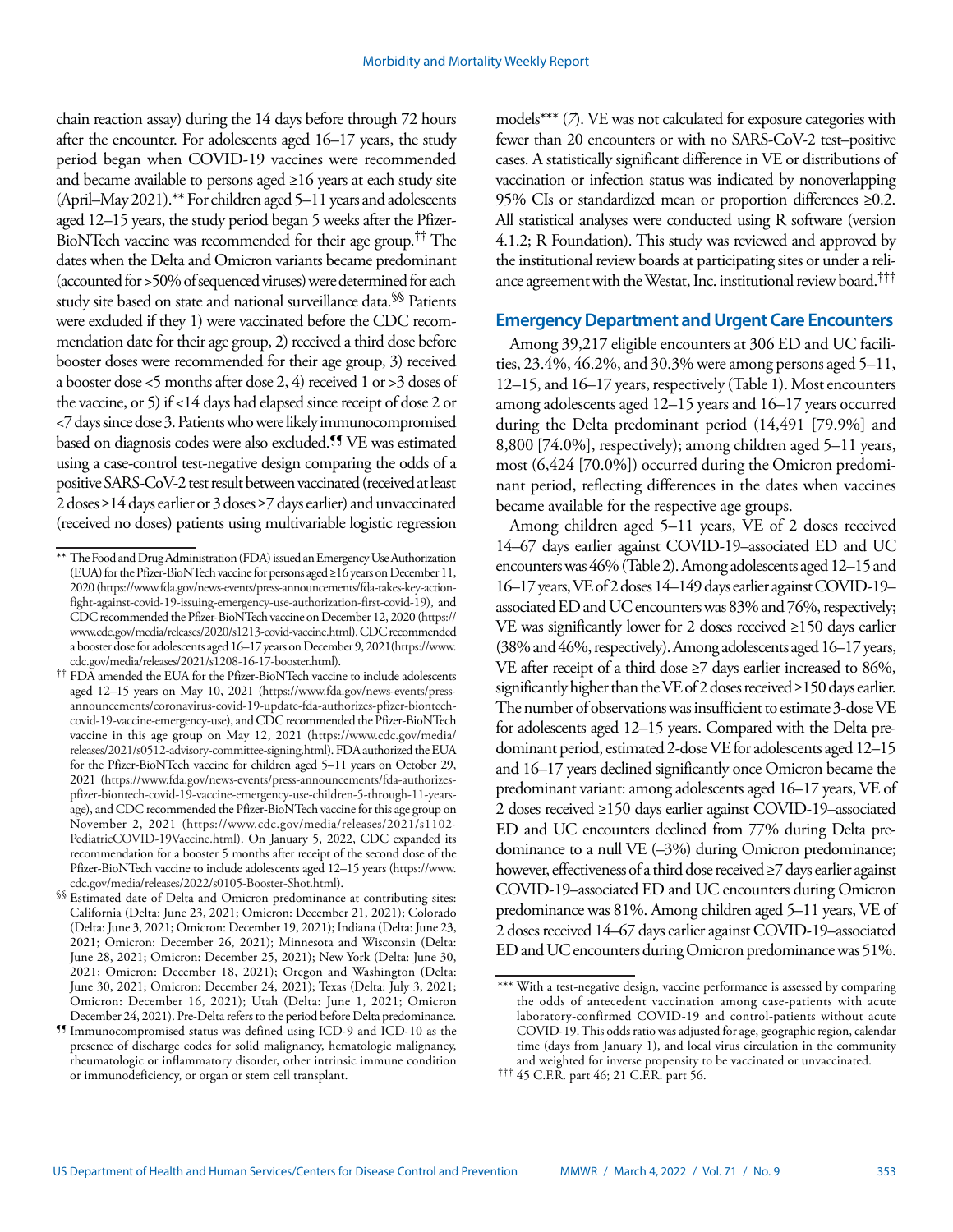chain reaction assay) during the 14 days before through 72 hours after the encounter. For adolescents aged 16–17 years, the study period began when COVID-19 vaccines were recommended and became available to persons aged ≥16 years at each study site (April–May 2021).\*\* For children aged 5–11 years and adolescents aged 12–15 years, the study period began 5 weeks after the Pfizer-BioNTech vaccine was recommended for their age group.†† The dates when the Delta and Omicron variants became predominant (accounted for >50% of sequenced viruses) were determined for each study site based on state and national surveillance data.<sup>§§</sup> Patients were excluded if they 1) were vaccinated before the CDC recommendation date for their age group, 2) received a third dose before booster doses were recommended for their age group, 3) received a booster dose <5 months after dose 2, 4) received 1 or >3 doses of the vaccine, or 5) if <14 days had elapsed since receipt of dose 2 or <7 days since dose 3. Patients who were likely immunocompromised based on diagnosis codes were also excluded.¶¶ VE was estimated using a case-control test-negative design comparing the odds of a positive SARS-CoV-2 test result between vaccinated (received at least 2 doses ≥14 days earlier or 3 doses ≥7 days earlier) and unvaccinated (received no doses) patients using multivariable logistic regression

models\*\*\* (*7*). VE was not calculated for exposure categories with fewer than 20 encounters or with no SARS-CoV-2 test–positive cases. A statistically significant difference in VE or distributions of vaccination or infection status was indicated by nonoverlapping 95% CIs or standardized mean or proportion differences ≥0.2. All statistical analyses were conducted using R software (version 4.1.2; R Foundation). This study was reviewed and approved by the institutional review boards at participating sites or under a reliance agreement with the Westat, Inc. institutional review board.†††

# **Emergency Department and Urgent Care Encounters**

Among 39,217 eligible encounters at 306 ED and UC facilities, 23.4%, 46.2%, and 30.3% were among persons aged 5–11, 12–15, and 16–17 years, respectively (Table 1). Most encounters among adolescents aged 12–15 years and 16–17 years occurred during the Delta predominant period (14,491 [79.9%] and 8,800 [74.0%], respectively); among children aged 5–11 years, most (6,424 [70.0%]) occurred during the Omicron predominant period, reflecting differences in the dates when vaccines became available for the respective age groups.

Among children aged 5–11 years, VE of 2 doses received 14–67 days earlier against COVID-19–associated ED and UC encounters was 46% (Table 2). Among adolescents aged 12–15 and 16–17 years, VE of 2 doses 14–149 days earlier against COVID-19– associated ED and UC encounters was 83% and 76%, respectively; VE was significantly lower for 2 doses received ≥150 days earlier (38% and 46%, respectively). Among adolescents aged 16–17 years, VE after receipt of a third dose ≥7 days earlier increased to 86%, significantly higher than the VE of 2 doses received ≥150 days earlier. The number of observations was insufficient to estimate 3-dose VE for adolescents aged 12–15 years. Compared with the Delta predominant period, estimated 2-dose VE for adolescents aged 12–15 and 16–17 years declined significantly once Omicron became the predominant variant: among adolescents aged 16–17 years, VE of 2 doses received ≥150 days earlier against COVID-19–associated ED and UC encounters declined from 77% during Delta predominance to a null VE (–3%) during Omicron predominance; however, effectiveness of a third dose received ≥7 days earlier against COVID-19–associated ED and UC encounters during Omicron predominance was 81%. Among children aged 5–11 years, VE of 2 doses received 14–67 days earlier against COVID-19–associated ED and UC encounters during Omicron predominance was 51%.

<sup>\*\*</sup> The Food and Drug Administration (FDA) issued an Emergency Use Authorization (EUA) for the Pfizer-BioNTech vaccine for persons aged ≥16 years on December 11, 2020 [\(https://www.fda.gov/news-events/press-announcements/fda-takes-key-action](https://www.fda.gov/news-events/press-announcements/fda-takes-key-action-fight-against-covid-19-issuing-emergency-use-authorization-first-covid-19)[fight-against-covid-19-issuing-emergency-use-authorization-first-covid-19](https://www.fda.gov/news-events/press-announcements/fda-takes-key-action-fight-against-covid-19-issuing-emergency-use-authorization-first-covid-19)), and CDC recommended the Pfizer-BioNTech vaccine on December 12, 2020 [\(https://](https://www.cdc.gov/media/releases/2020/s1213-covid-vaccine.html) [www.cdc.gov/media/releases/2020/s1213-covid-vaccine.html\)](https://www.cdc.gov/media/releases/2020/s1213-covid-vaccine.html). CDC recommended a booster dose for adolescents aged 16–17 years on December 9, 2021([https://www.](https://www.cdc.gov/media/releases/2021/s1208-16-17-booster.html) [cdc.gov/media/releases/2021/s1208-16-17-booster.html\)](https://www.cdc.gov/media/releases/2021/s1208-16-17-booster.html).

<sup>††</sup> FDA amended the EUA for the Pfizer-BioNTech vaccine to include adolescents aged 12–15 years on May 10, 2021 ([https://www.fda.gov/news-events/press](https://www.fda.gov/news-events/press-announcements/coronavirus-covid-19-update-fda-authorizes-pfizer-biontech-covid-19-vaccine-emergency-use)[announcements/coronavirus-covid-19-update-fda-authorizes-pfizer-biontech](https://www.fda.gov/news-events/press-announcements/coronavirus-covid-19-update-fda-authorizes-pfizer-biontech-covid-19-vaccine-emergency-use)[covid-19-vaccine-emergency-use](https://www.fda.gov/news-events/press-announcements/coronavirus-covid-19-update-fda-authorizes-pfizer-biontech-covid-19-vaccine-emergency-use)), and CDC recommended the Pfizer-BioNTech vaccine in this age group on May 12, 2021 [\(https://www.cdc.gov/media/](https://www.cdc.gov/media/releases/2021/s0512-advisory-committee-signing.html) [releases/2021/s0512-advisory-committee-signing.html](https://www.cdc.gov/media/releases/2021/s0512-advisory-committee-signing.html)). FDA authorized the EUA for the Pfizer-BioNTech vaccine for children aged 5–11 years on October 29, 2021 [\(https://www.fda.gov/news-events/press-announcements/fda-authorizes](https://www.fda.gov/news-events/press-announcements/fda-authorizes-pfizer-biontech-covid-19-vaccine-emergency-use-children-5-through-11-years-age)[pfizer-biontech-covid-19-vaccine-emergency-use-children-5-through-11-years](https://www.fda.gov/news-events/press-announcements/fda-authorizes-pfizer-biontech-covid-19-vaccine-emergency-use-children-5-through-11-years-age)[age](https://www.fda.gov/news-events/press-announcements/fda-authorizes-pfizer-biontech-covid-19-vaccine-emergency-use-children-5-through-11-years-age)), and CDC recommended the Pfizer-BioNTech vaccine for this age group on November 2, 2021 ([https://www.cdc.gov/media/releases/2021/s1102-](https://www.cdc.gov/media/releases/2021/s1102-PediatricCOVID-19Vaccine.html) [PediatricCOVID-19Vaccine.html\)](https://www.cdc.gov/media/releases/2021/s1102-PediatricCOVID-19Vaccine.html). On January 5, 2022, CDC expanded its recommendation for a booster 5 months after receipt of the second dose of the Pfizer-BioNTech vaccine to include adolescents aged 12–15 years ([https://www.](https://www.cdc.gov/media/releases/2022/s0105-Booster-Shot.html) [cdc.gov/media/releases/2022/s0105-Booster-Shot.html](https://www.cdc.gov/media/releases/2022/s0105-Booster-Shot.html)).

<sup>§§</sup> Estimated date of Delta and Omicron predominance at contributing sites: California (Delta: June 23, 2021; Omicron: December 21, 2021); Colorado (Delta: June 3, 2021; Omicron: December 19, 2021); Indiana (Delta: June 23, 2021; Omicron: December 26, 2021); Minnesota and Wisconsin (Delta: June 28, 2021; Omicron: December 25, 2021); New York (Delta: June 30, 2021; Omicron: December 18, 2021); Oregon and Washington (Delta: June 30, 2021; Omicron: December 24, 2021); Texas (Delta: July 3, 2021; Omicron: December 16, 2021); Utah (Delta: June 1, 2021; Omicron December 24, 2021). Pre-Delta refers to the period before Delta predominance.

<sup>¶¶</sup> Immunocompromised status was defined using ICD-9 and ICD-10 as the presence of discharge codes for solid malignancy, hematologic malignancy, rheumatologic or inflammatory disorder, other intrinsic immune condition or immunodeficiency, or organ or stem cell transplant.

<sup>\*\*\*</sup> With a test-negative design, vaccine performance is assessed by comparing the odds of antecedent vaccination among case-patients with acute laboratory-confirmed COVID-19 and control-patients without acute COVID-19. This odds ratio was adjusted for age, geographic region, calendar time (days from January 1), and local virus circulation in the community and weighted for inverse propensity to be vaccinated or unvaccinated.

<sup>†††</sup> 45 C.F.R. part 46; 21 C.F.R. part 56.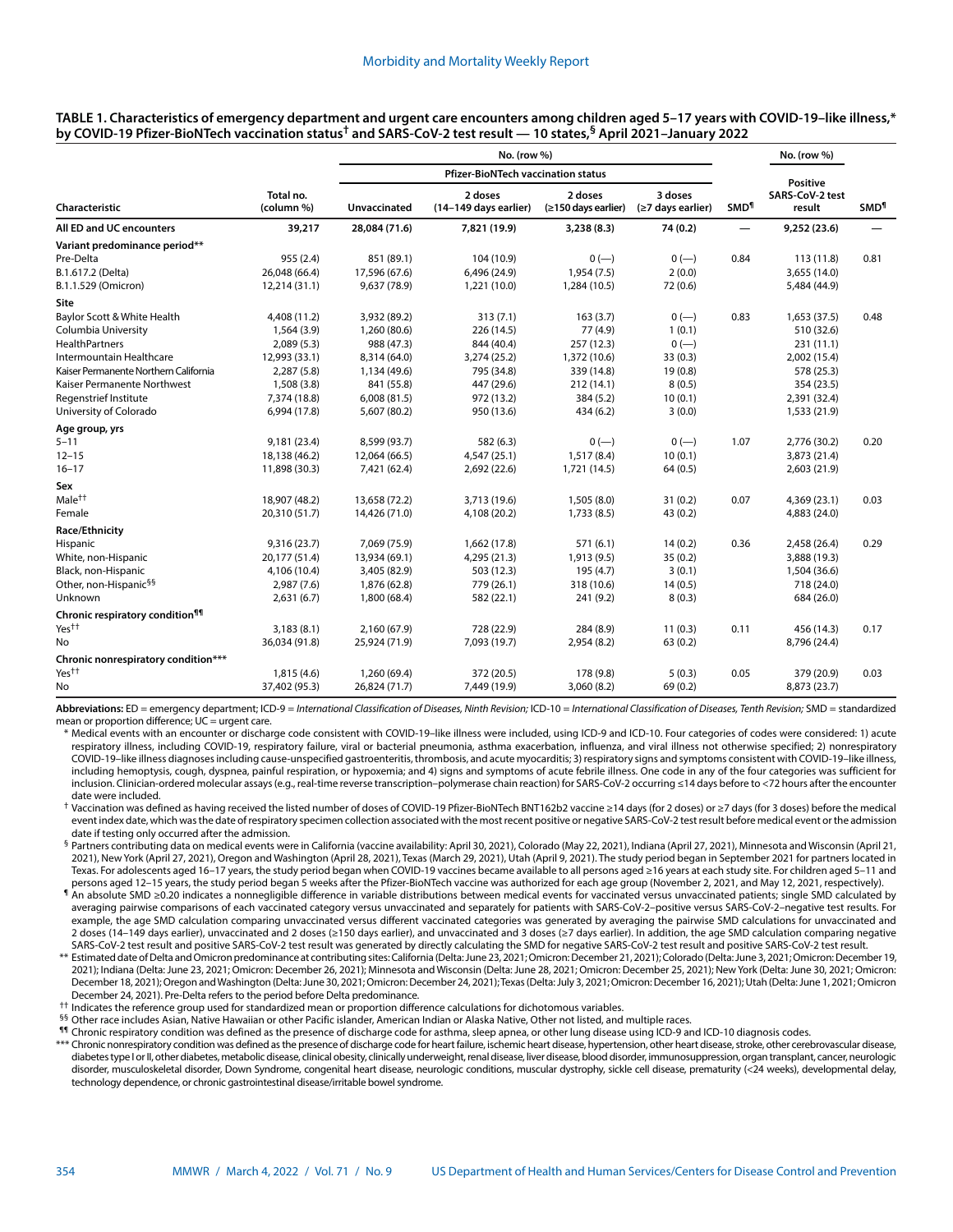| <b>Pfizer-BioNTech vaccination status</b><br>Positive<br>3 doses<br>Total no.<br>2 doses<br>2 doses<br>SARS-CoV-2 test<br>Unvaccinated<br>Characteristic<br>(column %)<br>(14-149 days earlier)<br>(≥150 days earlier)<br>(≥7 days earlier)<br><b>SMD</b> <sup>1</sup><br>result<br>All ED and UC encounters<br>39,217<br>28,084 (71.6)<br>3,238(8.3)<br>74 (0.2)<br>7,821 (19.9)<br>9,252 (23.6)<br>$\overline{\phantom{0}}$<br>Variant predominance period**<br>Pre-Delta<br>955(2.4)<br>851 (89.1)<br>104 (10.9)<br>$0 (-)$<br>0.84<br>113(11.8)<br>$0 (-)$<br>B.1.617.2 (Delta)<br>1,954(7.5)<br>2(0.0)<br>26,048 (66.4)<br>17,596 (67.6)<br>6,496 (24.9)<br>3,655 (14.0)<br>B.1.1.529 (Omicron)<br>9,637 (78.9)<br>1,284 (10.5)<br>72 (0.6)<br>12,214 (31.1)<br>1,221 (10.0)<br>5,484 (44.9)<br>Site<br>Baylor Scott & White Health<br>4,408 (11.2)<br>3,932 (89.2)<br>313(7.1)<br>163(3.7)<br>$0 (-)$<br>0.83<br>1,653 (37.5)<br>Columbia University<br>226 (14.5)<br>77 (4.9)<br>1(0.1)<br>1,564 (3.9)<br>1,260 (80.6)<br>510 (32.6)<br>$0 (-)$<br>2,089(5.3)<br>988 (47.3)<br>844 (40.4)<br>257 (12.3)<br>231(11.1)<br>12,993 (33.1)<br>8,314 (64.0)<br>3,274 (25.2)<br>1,372 (10.6)<br>33(0.3)<br>2,002 (15.4)<br>Kaiser Permanente Northern California<br>19(0.8)<br>2,287(5.8)<br>1,134 (49.6)<br>795 (34.8)<br>339 (14.8)<br>578 (25.3)<br>447 (29.6)<br>8(0.5)<br>1,508 (3.8)<br>841 (55.8)<br>212(14.1)<br>354 (23.5)<br>10(0.1)<br>7,374 (18.8)<br>6,008(81.5)<br>972 (13.2)<br>384 (5.2)<br>2,391 (32.4)<br>434(6.2)<br>3(0.0)<br>6,994 (17.8)<br>5,607 (80.2)<br>950 (13.6)<br>1,533 (21.9)<br>9,181 (23.4)<br>8,599 (93.7)<br>582 (6.3)<br>$0 (-)$<br>$0 (-)$<br>1.07<br>2,776 (30.2)<br>10(0.1)<br>18,138 (46.2)<br>12,064 (66.5)<br>4,547 (25.1)<br>1,517(8.4)<br>3,873 (21.4)<br>11,898 (30.3)<br>7,421 (62.4)<br>2,692 (22.6)<br>1,721 (14.5)<br>64(0.5)<br>2,603 (21.9)<br>18,907 (48.2)<br>13,658 (72.2)<br>3,713 (19.6)<br>1,505(8.0)<br>31(0.2)<br>0.07<br>4,369 (23.1)<br>4,108 (20.2)<br>1,733(8.5)<br>43 (0.2)<br>20,310 (51.7)<br>14,426 (71.0)<br>4,883 (24.0)<br>1,662 (17.8)<br>9,316(23.7)<br>7,069 (75.9)<br>571 (6.1)<br>14(0.2)<br>0.36<br>2,458 (26.4)<br>4,295 (21.3)<br>35(0.2)<br>20,177 (51.4)<br>13,934 (69.1)<br>1,913 (9.5)<br>3,888 (19.3) | <b>SMD<sup>1</sup></b><br>0.81 |
|------------------------------------------------------------------------------------------------------------------------------------------------------------------------------------------------------------------------------------------------------------------------------------------------------------------------------------------------------------------------------------------------------------------------------------------------------------------------------------------------------------------------------------------------------------------------------------------------------------------------------------------------------------------------------------------------------------------------------------------------------------------------------------------------------------------------------------------------------------------------------------------------------------------------------------------------------------------------------------------------------------------------------------------------------------------------------------------------------------------------------------------------------------------------------------------------------------------------------------------------------------------------------------------------------------------------------------------------------------------------------------------------------------------------------------------------------------------------------------------------------------------------------------------------------------------------------------------------------------------------------------------------------------------------------------------------------------------------------------------------------------------------------------------------------------------------------------------------------------------------------------------------------------------------------------------------------------------------------------------------------------------------------------------------------------------------------------------------------------------------------------------------------------------------------------------------------------------------------------------------------------------------------------------|--------------------------------|
|                                                                                                                                                                                                                                                                                                                                                                                                                                                                                                                                                                                                                                                                                                                                                                                                                                                                                                                                                                                                                                                                                                                                                                                                                                                                                                                                                                                                                                                                                                                                                                                                                                                                                                                                                                                                                                                                                                                                                                                                                                                                                                                                                                                                                                                                                          |                                |
|                                                                                                                                                                                                                                                                                                                                                                                                                                                                                                                                                                                                                                                                                                                                                                                                                                                                                                                                                                                                                                                                                                                                                                                                                                                                                                                                                                                                                                                                                                                                                                                                                                                                                                                                                                                                                                                                                                                                                                                                                                                                                                                                                                                                                                                                                          |                                |
|                                                                                                                                                                                                                                                                                                                                                                                                                                                                                                                                                                                                                                                                                                                                                                                                                                                                                                                                                                                                                                                                                                                                                                                                                                                                                                                                                                                                                                                                                                                                                                                                                                                                                                                                                                                                                                                                                                                                                                                                                                                                                                                                                                                                                                                                                          |                                |
|                                                                                                                                                                                                                                                                                                                                                                                                                                                                                                                                                                                                                                                                                                                                                                                                                                                                                                                                                                                                                                                                                                                                                                                                                                                                                                                                                                                                                                                                                                                                                                                                                                                                                                                                                                                                                                                                                                                                                                                                                                                                                                                                                                                                                                                                                          |                                |
|                                                                                                                                                                                                                                                                                                                                                                                                                                                                                                                                                                                                                                                                                                                                                                                                                                                                                                                                                                                                                                                                                                                                                                                                                                                                                                                                                                                                                                                                                                                                                                                                                                                                                                                                                                                                                                                                                                                                                                                                                                                                                                                                                                                                                                                                                          |                                |
|                                                                                                                                                                                                                                                                                                                                                                                                                                                                                                                                                                                                                                                                                                                                                                                                                                                                                                                                                                                                                                                                                                                                                                                                                                                                                                                                                                                                                                                                                                                                                                                                                                                                                                                                                                                                                                                                                                                                                                                                                                                                                                                                                                                                                                                                                          |                                |
|                                                                                                                                                                                                                                                                                                                                                                                                                                                                                                                                                                                                                                                                                                                                                                                                                                                                                                                                                                                                                                                                                                                                                                                                                                                                                                                                                                                                                                                                                                                                                                                                                                                                                                                                                                                                                                                                                                                                                                                                                                                                                                                                                                                                                                                                                          |                                |
|                                                                                                                                                                                                                                                                                                                                                                                                                                                                                                                                                                                                                                                                                                                                                                                                                                                                                                                                                                                                                                                                                                                                                                                                                                                                                                                                                                                                                                                                                                                                                                                                                                                                                                                                                                                                                                                                                                                                                                                                                                                                                                                                                                                                                                                                                          |                                |
|                                                                                                                                                                                                                                                                                                                                                                                                                                                                                                                                                                                                                                                                                                                                                                                                                                                                                                                                                                                                                                                                                                                                                                                                                                                                                                                                                                                                                                                                                                                                                                                                                                                                                                                                                                                                                                                                                                                                                                                                                                                                                                                                                                                                                                                                                          | 0.48                           |
| <b>HealthPartners</b><br>Intermountain Healthcare<br>Kaiser Permanente Northwest<br>Regenstrief Institute<br>University of Colorado<br>Age group, yrs<br>$5 - 11$<br>$12 - 15$<br>$16 - 17$<br>Sex<br>Male <sup>††</sup><br>Female<br>Race/Ethnicity<br>Hispanic<br>White, non-Hispanic                                                                                                                                                                                                                                                                                                                                                                                                                                                                                                                                                                                                                                                                                                                                                                                                                                                                                                                                                                                                                                                                                                                                                                                                                                                                                                                                                                                                                                                                                                                                                                                                                                                                                                                                                                                                                                                                                                                                                                                                  |                                |
|                                                                                                                                                                                                                                                                                                                                                                                                                                                                                                                                                                                                                                                                                                                                                                                                                                                                                                                                                                                                                                                                                                                                                                                                                                                                                                                                                                                                                                                                                                                                                                                                                                                                                                                                                                                                                                                                                                                                                                                                                                                                                                                                                                                                                                                                                          |                                |
|                                                                                                                                                                                                                                                                                                                                                                                                                                                                                                                                                                                                                                                                                                                                                                                                                                                                                                                                                                                                                                                                                                                                                                                                                                                                                                                                                                                                                                                                                                                                                                                                                                                                                                                                                                                                                                                                                                                                                                                                                                                                                                                                                                                                                                                                                          |                                |
|                                                                                                                                                                                                                                                                                                                                                                                                                                                                                                                                                                                                                                                                                                                                                                                                                                                                                                                                                                                                                                                                                                                                                                                                                                                                                                                                                                                                                                                                                                                                                                                                                                                                                                                                                                                                                                                                                                                                                                                                                                                                                                                                                                                                                                                                                          |                                |
|                                                                                                                                                                                                                                                                                                                                                                                                                                                                                                                                                                                                                                                                                                                                                                                                                                                                                                                                                                                                                                                                                                                                                                                                                                                                                                                                                                                                                                                                                                                                                                                                                                                                                                                                                                                                                                                                                                                                                                                                                                                                                                                                                                                                                                                                                          |                                |
|                                                                                                                                                                                                                                                                                                                                                                                                                                                                                                                                                                                                                                                                                                                                                                                                                                                                                                                                                                                                                                                                                                                                                                                                                                                                                                                                                                                                                                                                                                                                                                                                                                                                                                                                                                                                                                                                                                                                                                                                                                                                                                                                                                                                                                                                                          |                                |
|                                                                                                                                                                                                                                                                                                                                                                                                                                                                                                                                                                                                                                                                                                                                                                                                                                                                                                                                                                                                                                                                                                                                                                                                                                                                                                                                                                                                                                                                                                                                                                                                                                                                                                                                                                                                                                                                                                                                                                                                                                                                                                                                                                                                                                                                                          |                                |
|                                                                                                                                                                                                                                                                                                                                                                                                                                                                                                                                                                                                                                                                                                                                                                                                                                                                                                                                                                                                                                                                                                                                                                                                                                                                                                                                                                                                                                                                                                                                                                                                                                                                                                                                                                                                                                                                                                                                                                                                                                                                                                                                                                                                                                                                                          |                                |
|                                                                                                                                                                                                                                                                                                                                                                                                                                                                                                                                                                                                                                                                                                                                                                                                                                                                                                                                                                                                                                                                                                                                                                                                                                                                                                                                                                                                                                                                                                                                                                                                                                                                                                                                                                                                                                                                                                                                                                                                                                                                                                                                                                                                                                                                                          | 0.20                           |
|                                                                                                                                                                                                                                                                                                                                                                                                                                                                                                                                                                                                                                                                                                                                                                                                                                                                                                                                                                                                                                                                                                                                                                                                                                                                                                                                                                                                                                                                                                                                                                                                                                                                                                                                                                                                                                                                                                                                                                                                                                                                                                                                                                                                                                                                                          |                                |
|                                                                                                                                                                                                                                                                                                                                                                                                                                                                                                                                                                                                                                                                                                                                                                                                                                                                                                                                                                                                                                                                                                                                                                                                                                                                                                                                                                                                                                                                                                                                                                                                                                                                                                                                                                                                                                                                                                                                                                                                                                                                                                                                                                                                                                                                                          |                                |
|                                                                                                                                                                                                                                                                                                                                                                                                                                                                                                                                                                                                                                                                                                                                                                                                                                                                                                                                                                                                                                                                                                                                                                                                                                                                                                                                                                                                                                                                                                                                                                                                                                                                                                                                                                                                                                                                                                                                                                                                                                                                                                                                                                                                                                                                                          |                                |
|                                                                                                                                                                                                                                                                                                                                                                                                                                                                                                                                                                                                                                                                                                                                                                                                                                                                                                                                                                                                                                                                                                                                                                                                                                                                                                                                                                                                                                                                                                                                                                                                                                                                                                                                                                                                                                                                                                                                                                                                                                                                                                                                                                                                                                                                                          | 0.03                           |
|                                                                                                                                                                                                                                                                                                                                                                                                                                                                                                                                                                                                                                                                                                                                                                                                                                                                                                                                                                                                                                                                                                                                                                                                                                                                                                                                                                                                                                                                                                                                                                                                                                                                                                                                                                                                                                                                                                                                                                                                                                                                                                                                                                                                                                                                                          |                                |
|                                                                                                                                                                                                                                                                                                                                                                                                                                                                                                                                                                                                                                                                                                                                                                                                                                                                                                                                                                                                                                                                                                                                                                                                                                                                                                                                                                                                                                                                                                                                                                                                                                                                                                                                                                                                                                                                                                                                                                                                                                                                                                                                                                                                                                                                                          |                                |
|                                                                                                                                                                                                                                                                                                                                                                                                                                                                                                                                                                                                                                                                                                                                                                                                                                                                                                                                                                                                                                                                                                                                                                                                                                                                                                                                                                                                                                                                                                                                                                                                                                                                                                                                                                                                                                                                                                                                                                                                                                                                                                                                                                                                                                                                                          | 0.29                           |
|                                                                                                                                                                                                                                                                                                                                                                                                                                                                                                                                                                                                                                                                                                                                                                                                                                                                                                                                                                                                                                                                                                                                                                                                                                                                                                                                                                                                                                                                                                                                                                                                                                                                                                                                                                                                                                                                                                                                                                                                                                                                                                                                                                                                                                                                                          |                                |
| Black, non-Hispanic<br>3,405 (82.9)<br>503 (12.3)<br>195 (4.7)<br>3(0.1)<br>4,106 (10.4)<br>1,504 (36.6)                                                                                                                                                                                                                                                                                                                                                                                                                                                                                                                                                                                                                                                                                                                                                                                                                                                                                                                                                                                                                                                                                                                                                                                                                                                                                                                                                                                                                                                                                                                                                                                                                                                                                                                                                                                                                                                                                                                                                                                                                                                                                                                                                                                 |                                |
| Other, non-Hispanic <sup>§§</sup><br>779 (26.1)<br>14(0.5)<br>2,987(7.6)<br>1,876 (62.8)<br>318 (10.6)<br>718 (24.0)                                                                                                                                                                                                                                                                                                                                                                                                                                                                                                                                                                                                                                                                                                                                                                                                                                                                                                                                                                                                                                                                                                                                                                                                                                                                                                                                                                                                                                                                                                                                                                                                                                                                                                                                                                                                                                                                                                                                                                                                                                                                                                                                                                     |                                |
| 8(0.3)<br>Unknown<br>2,631(6.7)<br>582 (22.1)<br>241 (9.2)<br>684 (26.0)<br>1,800 (68.4)                                                                                                                                                                                                                                                                                                                                                                                                                                                                                                                                                                                                                                                                                                                                                                                                                                                                                                                                                                                                                                                                                                                                                                                                                                                                                                                                                                                                                                                                                                                                                                                                                                                                                                                                                                                                                                                                                                                                                                                                                                                                                                                                                                                                 |                                |
| Chronic respiratory condition <sup>¶¶</sup>                                                                                                                                                                                                                                                                                                                                                                                                                                                                                                                                                                                                                                                                                                                                                                                                                                                                                                                                                                                                                                                                                                                                                                                                                                                                                                                                                                                                                                                                                                                                                                                                                                                                                                                                                                                                                                                                                                                                                                                                                                                                                                                                                                                                                                              |                                |
| Yes††<br>3,183(8.1)<br>2,160 (67.9)<br>728 (22.9)<br>284 (8.9)<br>11(0.3)<br>0.11<br>456 (14.3)                                                                                                                                                                                                                                                                                                                                                                                                                                                                                                                                                                                                                                                                                                                                                                                                                                                                                                                                                                                                                                                                                                                                                                                                                                                                                                                                                                                                                                                                                                                                                                                                                                                                                                                                                                                                                                                                                                                                                                                                                                                                                                                                                                                          | 0.17                           |
| No<br>63(0.2)<br>36,034 (91.8)<br>25,924 (71.9)<br>7,093 (19.7)<br>2,954(8.2)<br>8,796 (24.4)                                                                                                                                                                                                                                                                                                                                                                                                                                                                                                                                                                                                                                                                                                                                                                                                                                                                                                                                                                                                                                                                                                                                                                                                                                                                                                                                                                                                                                                                                                                                                                                                                                                                                                                                                                                                                                                                                                                                                                                                                                                                                                                                                                                            |                                |
| Chronic nonrespiratory condition***                                                                                                                                                                                                                                                                                                                                                                                                                                                                                                                                                                                                                                                                                                                                                                                                                                                                                                                                                                                                                                                                                                                                                                                                                                                                                                                                                                                                                                                                                                                                                                                                                                                                                                                                                                                                                                                                                                                                                                                                                                                                                                                                                                                                                                                      |                                |
| Yes <sup>††</sup><br>1,815 (4.6)<br>1,260 (69.4)<br>372 (20.5)<br>178 (9.8)<br>5(0.3)<br>0.05<br>379 (20.9)                                                                                                                                                                                                                                                                                                                                                                                                                                                                                                                                                                                                                                                                                                                                                                                                                                                                                                                                                                                                                                                                                                                                                                                                                                                                                                                                                                                                                                                                                                                                                                                                                                                                                                                                                                                                                                                                                                                                                                                                                                                                                                                                                                              | 0.03                           |
| 3,060 (8.2)<br>69 (0.2)<br>No<br>37,402 (95.3)<br>26,824 (71.7)<br>7,449 (19.9)<br>8,873 (23.7)                                                                                                                                                                                                                                                                                                                                                                                                                                                                                                                                                                                                                                                                                                                                                                                                                                                                                                                                                                                                                                                                                                                                                                                                                                                                                                                                                                                                                                                                                                                                                                                                                                                                                                                                                                                                                                                                                                                                                                                                                                                                                                                                                                                          |                                |

**TABLE 1. Characteristics of emergency department and urgent care encounters among children aged 5–17 years with COVID-19–like illness,\* by COVID-19 Pfizer-BioNTech vaccination status† and SARS-CoV-2 test result — 10 states,§ April 2021–January 2022**

**Abbreviations:** ED = emergency department; ICD-9 = *International Classification of Diseases, Ninth Revision;* ICD-10 = *International Classification of Diseases, Tenth Revision;* SMD = standardized mean or proportion difference; UC = urgent care.

\* Medical events with an encounter or discharge code consistent with COVID-19–like illness were included, using ICD-9 and ICD-10. Four categories of codes were considered: 1) acute respiratory illness, including COVID-19, respiratory failure, viral or bacterial pneumonia, asthma exacerbation, influenza, and viral illness not otherwise specified; 2) nonrespiratory COVID-19–like illness diagnoses including cause-unspecified gastroenteritis, thrombosis, and acute myocarditis; 3) respiratory signs and symptoms consistent with COVID-19–like illness, including hemoptysis, cough, dyspnea, painful respiration, or hypoxemia; and 4) signs and symptoms of acute febrile illness. One code in any of the four categories was sufficient for inclusion. Clinician-ordered molecular assays (e.g., real-time reverse transcription–polymerase chain reaction) for SARS-CoV-2 occurring ≤14 days before to <72 hours after the encounter date were included.

† Vaccination was defined as having received the listed number of doses of COVID-19 Pfizer-BioNTech BNT162b2 vaccine ≥14 days (for 2 doses) or ≥7 days (for 3 doses) before the medical event index date, which was the date of respiratory specimen collection associated with the most recent positive or negative SARS-CoV-2 test result before medical event or the admission date if testing only occurred after the admission.

§ Partners contributing data on medical events were in California (vaccine availability: April 30, 2021), Colorado (May 22, 2021), Indiana (April 27, 2021), Minnesota and Wisconsin (April 21, 2021), New York (April 27, 2021), Oregon and Washington (April 28, 2021), Texas (March 29, 2021), Utah (April 9, 2021). The study period began in September 2021 for partners located in Texas. For adolescents aged 16–17 years, the study period began when COVID-19 vaccines became available to all persons aged ≥16 years at each study site. For children aged 5–11 and persons aged 12–15 years, the study period began 5 weeks after the Pfizer-BioNTech vaccine was authorized for each age group (November 2, 2021, and May 12, 2021, respectively).

¶ An absolute SMD ≥0.20 indicates a nonnegligible difference in variable distributions between medical events for vaccinated versus unvaccinated patients; single SMD calculated by averaging pairwise comparisons of each vaccinated category versus unvaccinated and separately for patients with SARS-CoV-2–positive versus SARS-CoV-2–negative test results. For example, the age SMD calculation comparing unvaccinated versus different vaccinated categories was generated by averaging the pairwise SMD calculations for unvaccinated and 2 doses (14–149 days earlier), unvaccinated and 2 doses (≥150 days earlier), and unvaccinated and 3 doses (≥7 days earlier). In addition, the age SMD calculation comparing negative SARS-CoV-2 test result and positive SARS-CoV-2 test result was generated by directly calculating the SMD for negative SARS-CoV-2 test result and positive SARS-CoV-2 test result.

\*\* Estimated date of Delta and Omicron predominance at contributing sites: California (Delta: June 23, 2021; Omicron: December 21, 2021); Colorado (Delta: June 3, 2021; Omicron: December 19, 2021); Indiana (Delta: June 23, 2021; Omicron: December 26, 2021); Minnesota and Wisconsin (Delta: June 28, 2021; Omicron: December 25, 2021); New York (Delta: June 30, 2021; Omicron: December 18, 2021); Oregon and Washington (Delta: June 30, 2021; Omicron: December 24, 2021); Texas (Delta: July 3, 2021; Omicron: December 16, 2021); Utah (Delta: June 1, 2021; Omicron December 24, 2021). Pre-Delta refers to the period before Delta predominance.

†† Indicates the reference group used for standardized mean or proportion difference calculations for dichotomous variables.

 $^{§§}$  Other race includes Asian, Native Hawaiian or other Pacific islander, American Indian or Alaska Native, Other not listed, and multiple races.

11 Chronic respiratory condition was defined as the presence of discharge code for asthma, sleep apnea, or other lung disease using ICD-9 and ICD-10 diagnosis codes.

\*\*\* Chronic nonrespiratory condition was defined as the presence of discharge code for heart failure, ischemic heart disease, hypertension, other heart disease, stroke, other cerebrovascular disease, diabetes type I or II, other diabetes, metabolic disease, clinical obesity, clinically underweight, renal disease, liver disease, blood disorder, immunosuppression, organ transplant, cancer, neurologic disorder, musculoskeletal disorder, Down Syndrome, congenital heart disease, neurologic conditions, muscular dystrophy, sickle cell disease, prematurity (<24 weeks), developmental delay, technology dependence, or chronic gastrointestinal disease/irritable bowel syndrome.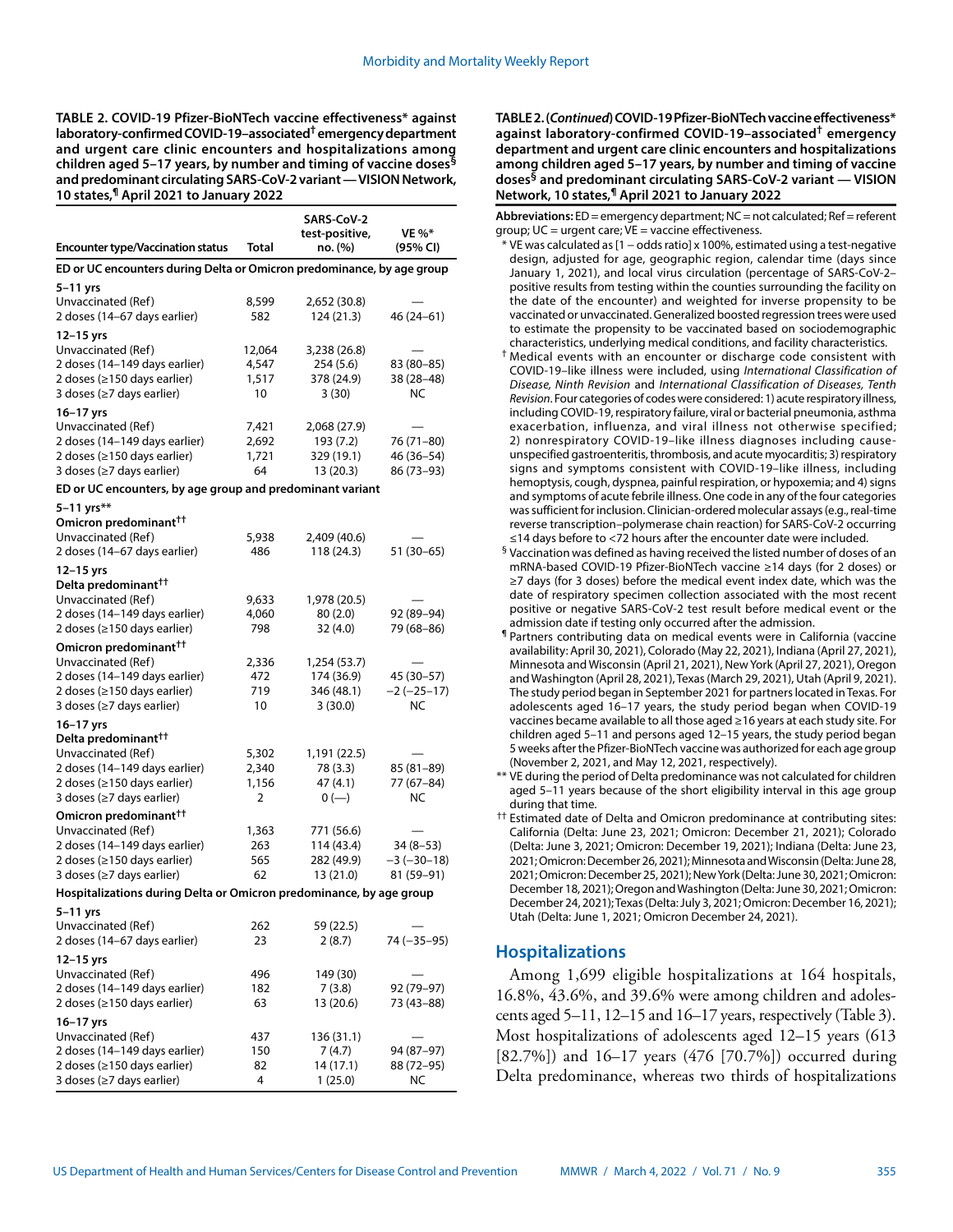**TABLE 2. COVID-19 Pfizer-BioNTech vaccine effectiveness\* against laboratory-confirmed COVID-19–associated† emergency department and urgent care clinic encounters and hospitalizations among children aged 5–17 years, by number and timing of vaccine doses§ and predominant circulating SARS-CoV-2 variant — VISION Network, 10 states,¶ April 2021 to January 2022**

| <b>Encounter type/Vaccination status</b>                                                                                                                                                  | <b>Total</b>                   | SARS-CoV-2<br>test-positive,<br>no. (%)              | <b>VE %*</b><br>(95% CI)                 |  |  |  |  |  |  |  |
|-------------------------------------------------------------------------------------------------------------------------------------------------------------------------------------------|--------------------------------|------------------------------------------------------|------------------------------------------|--|--|--|--|--|--|--|
| ED or UC encounters during Delta or Omicron predominance, by age group                                                                                                                    |                                |                                                      |                                          |  |  |  |  |  |  |  |
| 5-11 yrs<br>Unvaccinated (Ref)<br>2 doses (14–67 days earlier)                                                                                                                            | 8,599<br>582                   | 2,652 (30.8)<br>124 (21.3)                           | 46 (24 – 61)                             |  |  |  |  |  |  |  |
| 12-15 yrs<br>Unvaccinated (Ref)<br>2 doses (14-149 days earlier)<br>2 doses (≥150 days earlier)<br>3 doses (≥7 days earlier)                                                              | 12,064<br>4,547<br>1,517<br>10 | 3,238 (26.8)<br>254 (5.6)<br>378 (24.9)<br>3(30)     | 83 (80-85)<br>38 (28-48)<br><b>NC</b>    |  |  |  |  |  |  |  |
| 16-17 yrs<br>Unvaccinated (Ref)<br>2 doses (14-149 days earlier)<br>2 doses (≥150 days earlier)<br>3 doses (≥7 days earlier)<br>ED or UC encounters, by age group and predominant variant | 7,421<br>2,692<br>1,721<br>64  | 2,068 (27.9)<br>193 (7.2)<br>329 (19.1)<br>13 (20.3) | 76 (71–80)<br>46 (36-54)<br>86 (73–93)   |  |  |  |  |  |  |  |
| 5-11 yrs**<br>Omicron predominant <sup>††</sup><br>Unvaccinated (Ref)<br>2 doses (14-67 days earlier)                                                                                     | 5,938<br>486                   | 2,409 (40.6)<br>118 (24.3)                           | 51 (30-65)                               |  |  |  |  |  |  |  |
| 12-15 yrs<br>Delta predominant <sup>††</sup><br>Unvaccinated (Ref)<br>2 doses (14-149 days earlier)<br>2 doses (≥150 days earlier)                                                        | 9,633<br>4,060<br>798          | 1,978 (20.5)<br>80(2.0)<br>32 (4.0)                  | 92 (89-94)<br>79 (68–86)                 |  |  |  |  |  |  |  |
| Omicron predominant <sup>††</sup><br>Unvaccinated (Ref)<br>2 doses (14-149 days earlier)<br>2 doses (≥150 days earlier)<br>3 doses (≥7 days earlier)                                      | 2,336<br>472<br>719<br>10      | 1,254 (53.7)<br>174 (36.9)<br>346 (48.1)<br>3(30.0)  | 45 (30–57)<br>$-2(-25-17)$<br>NC         |  |  |  |  |  |  |  |
| 16–17 yrs<br>Delta predominant <sup>††</sup><br>Unvaccinated (Ref)<br>2 doses (14-149 days earlier)<br>2 doses (≥150 days earlier)<br>3 doses (≥7 days earlier)                           | 5,302<br>2,340<br>1,156<br>2   | 1,191 (22.5)<br>78 (3.3)<br>47 (4.1)<br>$0 (-)$      | 85 (81–89)<br>77 (67–84)<br>NC           |  |  |  |  |  |  |  |
| Omicron predominant <sup>++</sup><br>Unvaccinated (Ref)<br>2 doses (14-149 days earlier)<br>2 doses (≥150 days earlier)<br>3 doses (≥7 days earlier)                                      | 1,363<br>263<br>565<br>62      | 771 (56.6)<br>114 (43.4)<br>282 (49.9)<br>13 (21.0)  | $34(8-53)$<br>$-3(-30-18)$<br>81 (59-91) |  |  |  |  |  |  |  |
| Hospitalizations during Delta or Omicron predominance, by age group                                                                                                                       |                                |                                                      |                                          |  |  |  |  |  |  |  |
| 5–11 yrs<br>Unvaccinated (Ref)<br>2 doses (14–67 days earlier)                                                                                                                            | 262<br>23                      | 59 (22.5)<br>2 (8.7)                                 | 74 (–35–95)                              |  |  |  |  |  |  |  |
| 12-15 yrs<br>Unvaccinated (Ref)<br>2 doses (14–149 days earlier)<br>2 doses (≥150 days earlier)                                                                                           | 496<br>182<br>63               | 149 (30)<br>7 (3.8)<br>13 (20.6)                     | 92 (79-97)<br>73 (43-88)                 |  |  |  |  |  |  |  |
| 16-17 yrs<br>Unvaccinated (Ref)<br>2 doses (14–149 days earlier)<br>2 doses (≥150 days earlier)<br>3 doses (≥7 days earlier)                                                              | 437<br>150<br>82<br>4          | 136 (31.1)<br>7 (4.7)<br>14 (17.1)<br>1 (25.0)       | 94 (87–97)<br>88 (72–95)<br>ΝC           |  |  |  |  |  |  |  |

**TABLE 2. (***Continued***) COVID-19 Pfizer-BioNTech vaccine effectiveness\* against laboratory-confirmed COVID-19–associated† emergency department and urgent care clinic encounters and hospitalizations among children aged 5–17 years, by number and timing of vaccine doses§ and predominant circulating SARS-CoV-2 variant — VISION Network, 10 states,¶ April 2021 to January 2022**

**Abbreviations:** ED = emergency department; NC = not calculated; Ref = referent group;  $UC =$  urgent care;  $VE =$  vaccine effectiveness.

- \* VE was calculated as [1 − odds ratio] x 100%, estimated using a test-negative design, adjusted for age, geographic region, calendar time (days since January 1, 2021), and local virus circulation (percentage of SARS-CoV-2– positive results from testing within the counties surrounding the facility on the date of the encounter) and weighted for inverse propensity to be vaccinated or unvaccinated. Generalized boosted regression trees were used to estimate the propensity to be vaccinated based on sociodemographic characteristics, underlying medical conditions, and facility characteristics.
- † Medical events with an encounter or discharge code consistent with COVID-19–like illness were included, using *International Classification of Disease, Ninth Revision* and *International Classification of Diseases, Tenth Revision*. Four categories of codes were considered: 1) acute respiratory illness, including COVID-19, respiratory failure, viral or bacterial pneumonia, asthma exacerbation, influenza, and viral illness not otherwise specified; 2) nonrespiratory COVID-19–like illness diagnoses including causeunspecified gastroenteritis, thrombosis, and acute myocarditis; 3) respiratory signs and symptoms consistent with COVID-19–like illness, including hemoptysis, cough, dyspnea, painful respiration, or hypoxemia; and 4) signs and symptoms of acute febrile illness. One code in any of the four categories was sufficient for inclusion. Clinician-ordered molecular assays (e.g., real-time reverse transcription–polymerase chain reaction) for SARS-CoV-2 occurring ≤14 days before to <72 hours after the encounter date were included.
- § Vaccination was defined as having received the listed number of doses of an mRNA-based COVID-19 Pfizer-BioNTech vaccine ≥14 days (for 2 doses) or ≥7 days (for 3 doses) before the medical event index date, which was the date of respiratory specimen collection associated with the most recent positive or negative SARS-CoV-2 test result before medical event or the admission date if testing only occurred after the admission.
- ¶ Partners contributing data on medical events were in California (vaccine availability: April 30, 2021), Colorado (May 22, 2021), Indiana (April 27, 2021), Minnesota and Wisconsin (April 21, 2021), New York (April 27, 2021), Oregon and Washington (April 28, 2021), Texas (March 29, 2021), Utah (April 9, 2021). The study period began in September 2021 for partners located in Texas. For adolescents aged 16–17 years, the study period began when COVID-19 vaccines became available to all those aged ≥16 years at each study site. For children aged 5–11 and persons aged 12–15 years, the study period began 5 weeks after the Pfizer-BioNTech vaccine was authorized for each age group (November 2, 2021, and May 12, 2021, respectively).
- \*\* VE during the period of Delta predominance was not calculated for children aged 5–11 years because of the short eligibility interval in this age group during that time.
- †† Estimated date of Delta and Omicron predominance at contributing sites: California (Delta: June 23, 2021; Omicron: December 21, 2021); Colorado (Delta: June 3, 2021; Omicron: December 19, 2021); Indiana (Delta: June 23, 2021; Omicron: December 26, 2021); Minnesota and Wisconsin (Delta: June 28, 2021; Omicron: December 25, 2021); New York (Delta: June 30, 2021; Omicron: December 18, 2021); Oregon and Washington (Delta: June 30, 2021; Omicron: December 24, 2021); Texas (Delta: July 3, 2021; Omicron: December 16, 2021); Utah (Delta: June 1, 2021; Omicron December 24, 2021).

# **Hospitalizations**

Among 1,699 eligible hospitalizations at 164 hospitals, 16.8%, 43.6%, and 39.6% were among children and adolescents aged 5–11, 12–15 and 16–17 years, respectively (Table 3). Most hospitalizations of adolescents aged 12–15 years (613 [82.7%]) and 16–17 years (476 [70.7%]) occurred during Delta predominance, whereas two thirds of hospitalizations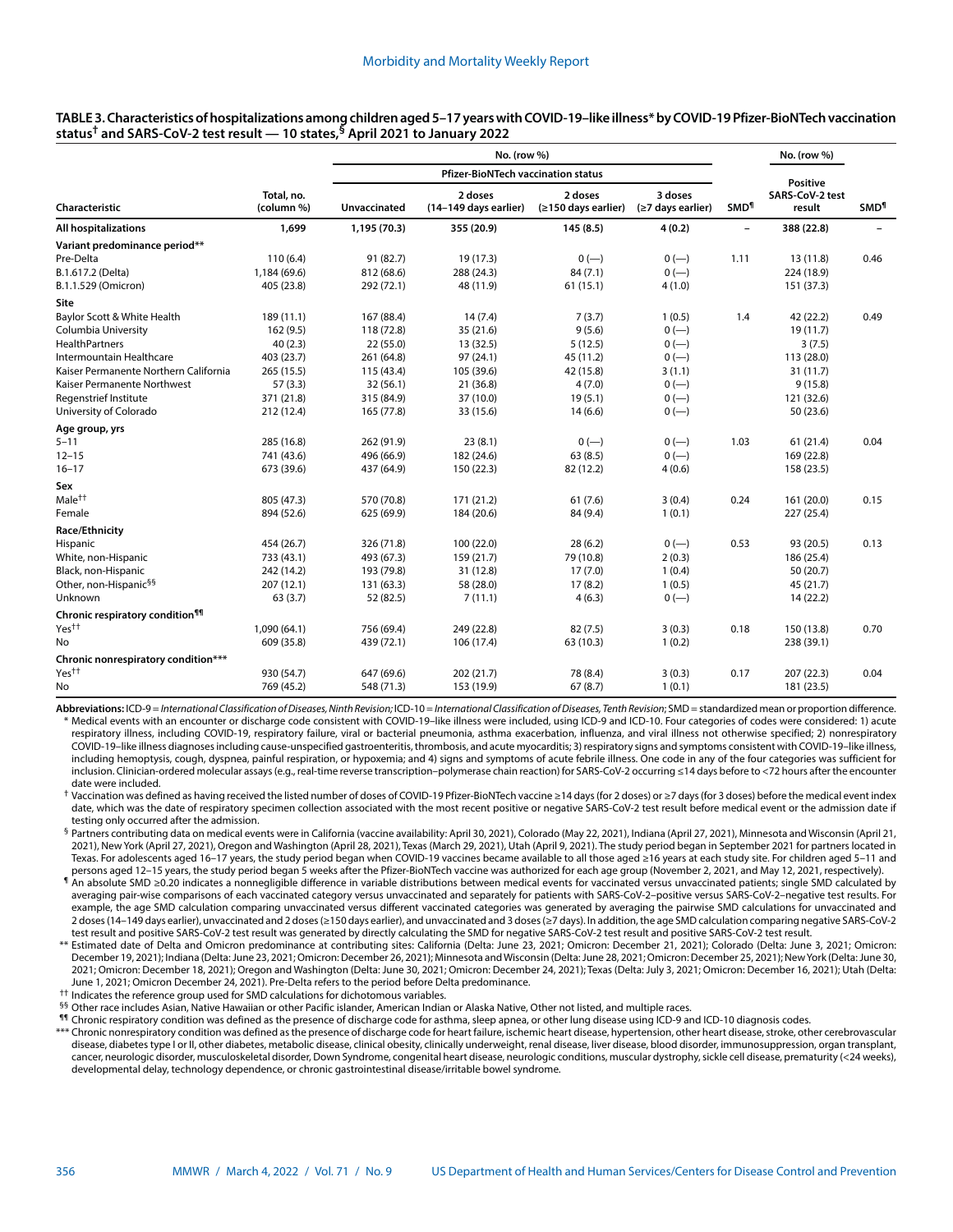| <b>Pfizer-BioNTech vaccination status</b><br><b>Positive</b><br>3 doses<br>Total, no.<br>2 doses<br>2 doses<br>SARS-CoV-2 test<br>Unvaccinated<br><b>SMD<sup>1</sup></b><br><b>SMD<sup>1</sup></b><br>(column %)<br>(14-149 days earlier)<br>(≥150 days earlier)<br>(≥7 days earlier)<br>result<br>1,699<br>4(0.2)<br>388 (22.8)<br>1,195 (70.3)<br>355 (20.9)<br>145(8.5)<br>-<br>91 (82.7)<br>19 (17.3)<br>110(6.4)<br>$0(-)$<br>$0 (-)$<br>1.11<br>13 (11.8)<br>0.46<br>1,184 (69.6)<br>812 (68.6)<br>84(7.1)<br>$0 (-)$<br>288 (24.3)<br>224 (18.9)<br>4(1.0)<br>405 (23.8)<br>292 (72.1)<br>48 (11.9)<br>61(15.1)<br>151 (37.3)<br>189 (11.1)<br>167 (88.4)<br>14(7.4)<br>7(3.7)<br>1.4<br>42 (22.2)<br>0.49<br>1(0.5)<br>118 (72.8)<br>9(5.6)<br>$0 (-)$<br>162 (9.5)<br>35 (21.6)<br>19 (11.7)<br>40(2.3)<br>13 (32.5)<br>5(12.5)<br>22(55.0)<br>$0 (-)$<br>3(7.5)<br>403 (23.7)<br>97 (24.1)<br>261 (64.8)<br>45 (11.2)<br>$0 (-)$<br>113 (28.0)<br>265 (15.5)<br>115 (43.4)<br>105 (39.6)<br>42 (15.8)<br>3(1.1)<br>31(11.7)<br>57(3.3)<br>32(56.1)<br>4(7.0)<br>$0 (-)$<br>21 (36.8)<br>9(15.8)<br>371 (21.8)<br>315 (84.9)<br>37 (10.0)<br>19(5.1)<br>$0 (-)$<br>121 (32.6)<br>212 (12.4)<br>165 (77.8)<br>33 (15.6)<br>14(6.6)<br>$0 (-)$<br>50 (23.6)<br>285 (16.8)<br>262 (91.9)<br>23(8.1)<br>$0 (-)$<br>$0 (-)$<br>1.03<br>61(21.4)<br>0.04<br>63(8.5)<br>741 (43.6)<br>496 (66.9)<br>182 (24.6)<br>$0 (-)$<br>169 (22.8)<br>673 (39.6)<br>4(0.6)<br>437 (64.9)<br>150 (22.3)<br>82 (12.2)<br>158 (23.5)<br>570 (70.8)<br>171 (21.2)<br>805 (47.3)<br>61(7.6)<br>3(0.4)<br>0.24<br>161 (20.0)<br>0.15<br>894 (52.6)<br>625 (69.9)<br>184 (20.6)<br>84 (9.4)<br>1(0.1)<br>227 (25.4)<br>454 (26.7)<br>326 (71.8)<br>100 (22.0)<br>28(6.2)<br>0.53<br>93 (20.5)<br>$0 (-)$<br>0.13<br>733 (43.1)<br>493 (67.3)<br>159 (21.7)<br>79 (10.8)<br>2(0.3)<br>186 (25.4)<br>242 (14.2)<br>193 (79.8)<br>31 (12.8)<br>17(7.0)<br>1(0.4)<br>50 (20.7)<br>207 (12.1)<br>17(8.2)<br>131 (63.3)<br>58 (28.0)<br>1(0.5)<br>45 (21.7)<br>63(3.7)<br>52 (82.5)<br>7(11.1)<br>4(6.3)<br>$0 (-)$<br>14 (22.2)<br>1,090 (64.1)<br>756 (69.4)<br>249 (22.8)<br>82(7.5)<br>3(0.3)<br>0.18<br>150 (13.8)<br>0.70<br>609 (35.8)<br>439 (72.1)<br>106 (17.4)<br>63 (10.3)<br>1(0.2)<br>238 (39.1)<br>930 (54.7)<br>647 (69.6)<br>202 (21.7)<br>78 (8.4)<br>3(0.3)<br>0.17<br>207 (22.3)<br>0.04<br>769 (45.2) |                                             |  | No. (row %) |            |         |        |  | No. (row %) |  |
|------------------------------------------------------------------------------------------------------------------------------------------------------------------------------------------------------------------------------------------------------------------------------------------------------------------------------------------------------------------------------------------------------------------------------------------------------------------------------------------------------------------------------------------------------------------------------------------------------------------------------------------------------------------------------------------------------------------------------------------------------------------------------------------------------------------------------------------------------------------------------------------------------------------------------------------------------------------------------------------------------------------------------------------------------------------------------------------------------------------------------------------------------------------------------------------------------------------------------------------------------------------------------------------------------------------------------------------------------------------------------------------------------------------------------------------------------------------------------------------------------------------------------------------------------------------------------------------------------------------------------------------------------------------------------------------------------------------------------------------------------------------------------------------------------------------------------------------------------------------------------------------------------------------------------------------------------------------------------------------------------------------------------------------------------------------------------------------------------------------------------------------------------------------------------------------------------------------------------------------------------------------------------------------------------------------------------------------------------------------------------------------------------|---------------------------------------------|--|-------------|------------|---------|--------|--|-------------|--|
|                                                                                                                                                                                                                                                                                                                                                                                                                                                                                                                                                                                                                                                                                                                                                                                                                                                                                                                                                                                                                                                                                                                                                                                                                                                                                                                                                                                                                                                                                                                                                                                                                                                                                                                                                                                                                                                                                                                                                                                                                                                                                                                                                                                                                                                                                                                                                                                                      |                                             |  |             |            |         |        |  |             |  |
|                                                                                                                                                                                                                                                                                                                                                                                                                                                                                                                                                                                                                                                                                                                                                                                                                                                                                                                                                                                                                                                                                                                                                                                                                                                                                                                                                                                                                                                                                                                                                                                                                                                                                                                                                                                                                                                                                                                                                                                                                                                                                                                                                                                                                                                                                                                                                                                                      | Characteristic                              |  |             |            |         |        |  |             |  |
|                                                                                                                                                                                                                                                                                                                                                                                                                                                                                                                                                                                                                                                                                                                                                                                                                                                                                                                                                                                                                                                                                                                                                                                                                                                                                                                                                                                                                                                                                                                                                                                                                                                                                                                                                                                                                                                                                                                                                                                                                                                                                                                                                                                                                                                                                                                                                                                                      | All hospitalizations                        |  |             |            |         |        |  |             |  |
|                                                                                                                                                                                                                                                                                                                                                                                                                                                                                                                                                                                                                                                                                                                                                                                                                                                                                                                                                                                                                                                                                                                                                                                                                                                                                                                                                                                                                                                                                                                                                                                                                                                                                                                                                                                                                                                                                                                                                                                                                                                                                                                                                                                                                                                                                                                                                                                                      | Variant predominance period**               |  |             |            |         |        |  |             |  |
|                                                                                                                                                                                                                                                                                                                                                                                                                                                                                                                                                                                                                                                                                                                                                                                                                                                                                                                                                                                                                                                                                                                                                                                                                                                                                                                                                                                                                                                                                                                                                                                                                                                                                                                                                                                                                                                                                                                                                                                                                                                                                                                                                                                                                                                                                                                                                                                                      | Pre-Delta                                   |  |             |            |         |        |  |             |  |
|                                                                                                                                                                                                                                                                                                                                                                                                                                                                                                                                                                                                                                                                                                                                                                                                                                                                                                                                                                                                                                                                                                                                                                                                                                                                                                                                                                                                                                                                                                                                                                                                                                                                                                                                                                                                                                                                                                                                                                                                                                                                                                                                                                                                                                                                                                                                                                                                      | B.1.617.2 (Delta)                           |  |             |            |         |        |  |             |  |
|                                                                                                                                                                                                                                                                                                                                                                                                                                                                                                                                                                                                                                                                                                                                                                                                                                                                                                                                                                                                                                                                                                                                                                                                                                                                                                                                                                                                                                                                                                                                                                                                                                                                                                                                                                                                                                                                                                                                                                                                                                                                                                                                                                                                                                                                                                                                                                                                      | B.1.1.529 (Omicron)                         |  |             |            |         |        |  |             |  |
|                                                                                                                                                                                                                                                                                                                                                                                                                                                                                                                                                                                                                                                                                                                                                                                                                                                                                                                                                                                                                                                                                                                                                                                                                                                                                                                                                                                                                                                                                                                                                                                                                                                                                                                                                                                                                                                                                                                                                                                                                                                                                                                                                                                                                                                                                                                                                                                                      | Site                                        |  |             |            |         |        |  |             |  |
|                                                                                                                                                                                                                                                                                                                                                                                                                                                                                                                                                                                                                                                                                                                                                                                                                                                                                                                                                                                                                                                                                                                                                                                                                                                                                                                                                                                                                                                                                                                                                                                                                                                                                                                                                                                                                                                                                                                                                                                                                                                                                                                                                                                                                                                                                                                                                                                                      | Baylor Scott & White Health                 |  |             |            |         |        |  |             |  |
|                                                                                                                                                                                                                                                                                                                                                                                                                                                                                                                                                                                                                                                                                                                                                                                                                                                                                                                                                                                                                                                                                                                                                                                                                                                                                                                                                                                                                                                                                                                                                                                                                                                                                                                                                                                                                                                                                                                                                                                                                                                                                                                                                                                                                                                                                                                                                                                                      | Columbia University                         |  |             |            |         |        |  |             |  |
|                                                                                                                                                                                                                                                                                                                                                                                                                                                                                                                                                                                                                                                                                                                                                                                                                                                                                                                                                                                                                                                                                                                                                                                                                                                                                                                                                                                                                                                                                                                                                                                                                                                                                                                                                                                                                                                                                                                                                                                                                                                                                                                                                                                                                                                                                                                                                                                                      | <b>HealthPartners</b>                       |  |             |            |         |        |  |             |  |
|                                                                                                                                                                                                                                                                                                                                                                                                                                                                                                                                                                                                                                                                                                                                                                                                                                                                                                                                                                                                                                                                                                                                                                                                                                                                                                                                                                                                                                                                                                                                                                                                                                                                                                                                                                                                                                                                                                                                                                                                                                                                                                                                                                                                                                                                                                                                                                                                      | Intermountain Healthcare                    |  |             |            |         |        |  |             |  |
|                                                                                                                                                                                                                                                                                                                                                                                                                                                                                                                                                                                                                                                                                                                                                                                                                                                                                                                                                                                                                                                                                                                                                                                                                                                                                                                                                                                                                                                                                                                                                                                                                                                                                                                                                                                                                                                                                                                                                                                                                                                                                                                                                                                                                                                                                                                                                                                                      | Kaiser Permanente Northern California       |  |             |            |         |        |  |             |  |
|                                                                                                                                                                                                                                                                                                                                                                                                                                                                                                                                                                                                                                                                                                                                                                                                                                                                                                                                                                                                                                                                                                                                                                                                                                                                                                                                                                                                                                                                                                                                                                                                                                                                                                                                                                                                                                                                                                                                                                                                                                                                                                                                                                                                                                                                                                                                                                                                      | Kaiser Permanente Northwest                 |  |             |            |         |        |  |             |  |
|                                                                                                                                                                                                                                                                                                                                                                                                                                                                                                                                                                                                                                                                                                                                                                                                                                                                                                                                                                                                                                                                                                                                                                                                                                                                                                                                                                                                                                                                                                                                                                                                                                                                                                                                                                                                                                                                                                                                                                                                                                                                                                                                                                                                                                                                                                                                                                                                      | Regenstrief Institute                       |  |             |            |         |        |  |             |  |
|                                                                                                                                                                                                                                                                                                                                                                                                                                                                                                                                                                                                                                                                                                                                                                                                                                                                                                                                                                                                                                                                                                                                                                                                                                                                                                                                                                                                                                                                                                                                                                                                                                                                                                                                                                                                                                                                                                                                                                                                                                                                                                                                                                                                                                                                                                                                                                                                      | University of Colorado                      |  |             |            |         |        |  |             |  |
|                                                                                                                                                                                                                                                                                                                                                                                                                                                                                                                                                                                                                                                                                                                                                                                                                                                                                                                                                                                                                                                                                                                                                                                                                                                                                                                                                                                                                                                                                                                                                                                                                                                                                                                                                                                                                                                                                                                                                                                                                                                                                                                                                                                                                                                                                                                                                                                                      | Age group, yrs                              |  |             |            |         |        |  |             |  |
|                                                                                                                                                                                                                                                                                                                                                                                                                                                                                                                                                                                                                                                                                                                                                                                                                                                                                                                                                                                                                                                                                                                                                                                                                                                                                                                                                                                                                                                                                                                                                                                                                                                                                                                                                                                                                                                                                                                                                                                                                                                                                                                                                                                                                                                                                                                                                                                                      | $5 - 11$                                    |  |             |            |         |        |  |             |  |
|                                                                                                                                                                                                                                                                                                                                                                                                                                                                                                                                                                                                                                                                                                                                                                                                                                                                                                                                                                                                                                                                                                                                                                                                                                                                                                                                                                                                                                                                                                                                                                                                                                                                                                                                                                                                                                                                                                                                                                                                                                                                                                                                                                                                                                                                                                                                                                                                      | $12 - 15$                                   |  |             |            |         |        |  |             |  |
|                                                                                                                                                                                                                                                                                                                                                                                                                                                                                                                                                                                                                                                                                                                                                                                                                                                                                                                                                                                                                                                                                                                                                                                                                                                                                                                                                                                                                                                                                                                                                                                                                                                                                                                                                                                                                                                                                                                                                                                                                                                                                                                                                                                                                                                                                                                                                                                                      | $16 - 17$                                   |  |             |            |         |        |  |             |  |
|                                                                                                                                                                                                                                                                                                                                                                                                                                                                                                                                                                                                                                                                                                                                                                                                                                                                                                                                                                                                                                                                                                                                                                                                                                                                                                                                                                                                                                                                                                                                                                                                                                                                                                                                                                                                                                                                                                                                                                                                                                                                                                                                                                                                                                                                                                                                                                                                      | Sex                                         |  |             |            |         |        |  |             |  |
|                                                                                                                                                                                                                                                                                                                                                                                                                                                                                                                                                                                                                                                                                                                                                                                                                                                                                                                                                                                                                                                                                                                                                                                                                                                                                                                                                                                                                                                                                                                                                                                                                                                                                                                                                                                                                                                                                                                                                                                                                                                                                                                                                                                                                                                                                                                                                                                                      | Male <sup>††</sup>                          |  |             |            |         |        |  |             |  |
|                                                                                                                                                                                                                                                                                                                                                                                                                                                                                                                                                                                                                                                                                                                                                                                                                                                                                                                                                                                                                                                                                                                                                                                                                                                                                                                                                                                                                                                                                                                                                                                                                                                                                                                                                                                                                                                                                                                                                                                                                                                                                                                                                                                                                                                                                                                                                                                                      | Female                                      |  |             |            |         |        |  |             |  |
|                                                                                                                                                                                                                                                                                                                                                                                                                                                                                                                                                                                                                                                                                                                                                                                                                                                                                                                                                                                                                                                                                                                                                                                                                                                                                                                                                                                                                                                                                                                                                                                                                                                                                                                                                                                                                                                                                                                                                                                                                                                                                                                                                                                                                                                                                                                                                                                                      | Race/Ethnicity                              |  |             |            |         |        |  |             |  |
|                                                                                                                                                                                                                                                                                                                                                                                                                                                                                                                                                                                                                                                                                                                                                                                                                                                                                                                                                                                                                                                                                                                                                                                                                                                                                                                                                                                                                                                                                                                                                                                                                                                                                                                                                                                                                                                                                                                                                                                                                                                                                                                                                                                                                                                                                                                                                                                                      | Hispanic                                    |  |             |            |         |        |  |             |  |
|                                                                                                                                                                                                                                                                                                                                                                                                                                                                                                                                                                                                                                                                                                                                                                                                                                                                                                                                                                                                                                                                                                                                                                                                                                                                                                                                                                                                                                                                                                                                                                                                                                                                                                                                                                                                                                                                                                                                                                                                                                                                                                                                                                                                                                                                                                                                                                                                      | White, non-Hispanic                         |  |             |            |         |        |  |             |  |
|                                                                                                                                                                                                                                                                                                                                                                                                                                                                                                                                                                                                                                                                                                                                                                                                                                                                                                                                                                                                                                                                                                                                                                                                                                                                                                                                                                                                                                                                                                                                                                                                                                                                                                                                                                                                                                                                                                                                                                                                                                                                                                                                                                                                                                                                                                                                                                                                      | Black, non-Hispanic                         |  |             |            |         |        |  |             |  |
|                                                                                                                                                                                                                                                                                                                                                                                                                                                                                                                                                                                                                                                                                                                                                                                                                                                                                                                                                                                                                                                                                                                                                                                                                                                                                                                                                                                                                                                                                                                                                                                                                                                                                                                                                                                                                                                                                                                                                                                                                                                                                                                                                                                                                                                                                                                                                                                                      | Other, non-Hispanic <sup>§§</sup>           |  |             |            |         |        |  |             |  |
|                                                                                                                                                                                                                                                                                                                                                                                                                                                                                                                                                                                                                                                                                                                                                                                                                                                                                                                                                                                                                                                                                                                                                                                                                                                                                                                                                                                                                                                                                                                                                                                                                                                                                                                                                                                                                                                                                                                                                                                                                                                                                                                                                                                                                                                                                                                                                                                                      | Unknown                                     |  |             |            |         |        |  |             |  |
|                                                                                                                                                                                                                                                                                                                                                                                                                                                                                                                                                                                                                                                                                                                                                                                                                                                                                                                                                                                                                                                                                                                                                                                                                                                                                                                                                                                                                                                                                                                                                                                                                                                                                                                                                                                                                                                                                                                                                                                                                                                                                                                                                                                                                                                                                                                                                                                                      | Chronic respiratory condition <sup>¶¶</sup> |  |             |            |         |        |  |             |  |
|                                                                                                                                                                                                                                                                                                                                                                                                                                                                                                                                                                                                                                                                                                                                                                                                                                                                                                                                                                                                                                                                                                                                                                                                                                                                                                                                                                                                                                                                                                                                                                                                                                                                                                                                                                                                                                                                                                                                                                                                                                                                                                                                                                                                                                                                                                                                                                                                      | Yes††                                       |  |             |            |         |        |  |             |  |
|                                                                                                                                                                                                                                                                                                                                                                                                                                                                                                                                                                                                                                                                                                                                                                                                                                                                                                                                                                                                                                                                                                                                                                                                                                                                                                                                                                                                                                                                                                                                                                                                                                                                                                                                                                                                                                                                                                                                                                                                                                                                                                                                                                                                                                                                                                                                                                                                      | No                                          |  |             |            |         |        |  |             |  |
|                                                                                                                                                                                                                                                                                                                                                                                                                                                                                                                                                                                                                                                                                                                                                                                                                                                                                                                                                                                                                                                                                                                                                                                                                                                                                                                                                                                                                                                                                                                                                                                                                                                                                                                                                                                                                                                                                                                                                                                                                                                                                                                                                                                                                                                                                                                                                                                                      | Chronic nonrespiratory condition***         |  |             |            |         |        |  |             |  |
|                                                                                                                                                                                                                                                                                                                                                                                                                                                                                                                                                                                                                                                                                                                                                                                                                                                                                                                                                                                                                                                                                                                                                                                                                                                                                                                                                                                                                                                                                                                                                                                                                                                                                                                                                                                                                                                                                                                                                                                                                                                                                                                                                                                                                                                                                                                                                                                                      | Yes <sup>††</sup>                           |  |             |            |         |        |  |             |  |
|                                                                                                                                                                                                                                                                                                                                                                                                                                                                                                                                                                                                                                                                                                                                                                                                                                                                                                                                                                                                                                                                                                                                                                                                                                                                                                                                                                                                                                                                                                                                                                                                                                                                                                                                                                                                                                                                                                                                                                                                                                                                                                                                                                                                                                                                                                                                                                                                      | No                                          |  | 548 (71.3)  | 153 (19.9) | 67(8.7) | 1(0.1) |  | 181 (23.5)  |  |

#### **TABLE 3. Characteristics of hospitalizations among children aged 5–17 years with COVID-19–like illness\* by COVID-19 Pfizer-BioNTech vaccination status† and SARS-CoV-2 test result — 10 states,§ April 2021 to January 2022**

**Abbreviations:** ICD-9 = *International Classification of Diseases, Ninth Revision;* ICD-10 = *International Classification of Diseases, Tenth Revision*; SMD = standardized mean or proportion difference. Medical events with an encounter or discharge code consistent with COVID-19-like illness were included, using ICD-9 and ICD-10. Four categories of codes were considered: 1) acute respiratory illness, including COVID-19, respiratory failure, viral or bacterial pneumonia, asthma exacerbation, influenza, and viral illness not otherwise specified; 2) nonrespiratory COVID-19–like illness diagnoses including cause-unspecified gastroenteritis, thrombosis, and acute myocarditis; 3) respiratory signs and symptoms consistent with COVID-19–like illness, including hemoptysis, cough, dyspnea, painful respiration, or hypoxemia; and 4) signs and symptoms of acute febrile illness. One code in any of the four categories was sufficient for inclusion. Clinician-ordered molecular assays (e.g., real-time reverse transcription–polymerase chain reaction) for SARS-CoV-2 occurring ≤14 days before to <72 hours after the encounter date were included.

† Vaccination was defined as having received the listed number of doses of COVID-19 Pfizer-BioNTech vaccine ≥14 days (for 2 doses) or ≥7 days (for 3 doses) before the medical event index date, which was the date of respiratory specimen collection associated with the most recent positive or negative SARS-CoV-2 test result before medical event or the admission date if testing only occurred after the admission.

§ Partners contributing data on medical events were in California (vaccine availability: April 30, 2021), Colorado (May 22, 2021), Indiana (April 27, 2021), Minnesota and Wisconsin (April 21, 2021), New York (April 27, 2021), Oregon and Washington (April 28, 2021), Texas (March 29, 2021), Utah (April 9, 2021). The study period began in September 2021 for partners located in Texas. For adolescents aged 16–17 years, the study period began when COVID-19 vaccines became available to all those aged ≥16 years at each study site. For children aged 5–11 and persons aged 12–15 years, the study period began 5 weeks after the Pfizer-BioNTech vaccine was authorized for each age group (November 2, 2021, and May 12, 2021, respectively).

¶ An absolute SMD ≥0.20 indicates a nonnegligible difference in variable distributions between medical events for vaccinated versus unvaccinated patients; single SMD calculated by averaging pair-wise comparisons of each vaccinated category versus unvaccinated and separately for patients with SARS-CoV-2–positive versus SARS-CoV-2–negative test results. For example, the age SMD calculation comparing unvaccinated versus different vaccinated categories was generated by averaging the pairwise SMD calculations for unvaccinated and 2 doses (14–149 days earlier), unvaccinated and 2 doses (≥150 days earlier), and unvaccinated and 3 doses (≥7 days). In addition, the age SMD calculation comparing negative SARS-CoV-2 test result and positive SARS-CoV-2 test result was generated by directly calculating the SMD for negative SARS-CoV-2 test result and positive SARS-CoV-2 test result.

\*\* Estimated date of Delta and Omicron predominance at contributing sites: California (Delta: June 23, 2021; Omicron: December 21, 2021); Colorado (Delta: June 3, 2021; Omicron: December 19, 2021); Indiana (Delta: June 23, 2021; Omicron: December 26, 2021); Minnesota and Wisconsin (Delta: June 28, 2021; Omicron: December 25, 2021); New York (Delta: June 30, 2021; Omicron: December 18, 2021); Oregon and Washington (Delta: June 30, 2021; Omicron: December 24, 2021); Texas (Delta: July 3, 2021; Omicron: December 16, 2021); Utah (Delta: June 1, 2021; Omicron December 24, 2021). Pre-Delta refers to the period before Delta predominance.

†† Indicates the reference group used for SMD calculations for dichotomous variables.

§§ Other race includes Asian, Native Hawaiian or other Pacific islander, American Indian or Alaska Native, Other not listed, and multiple races.

¶¶ Chronic respiratory condition was defined as the presence of discharge code for asthma, sleep apnea, or other lung disease using ICD-9 and ICD-10 diagnosis codes.

\*\*\* Chronic nonrespiratory condition was defined as the presence of discharge code for heart failure, ischemic heart disease, hypertension, other heart disease, stroke, other cerebrovascular disease, diabetes type I or II, other diabetes, metabolic disease, clinical obesity, clinically underweight, renal disease, liver disease, blood disorder, immunosuppression, organ transplant, cancer, neurologic disorder, musculoskeletal disorder, Down Syndrome, congenital heart disease, neurologic conditions, muscular dystrophy, sickle cell disease, prematurity (<24 weeks), developmental delay, technology dependence, or chronic gastrointestinal disease/irritable bowel syndrome.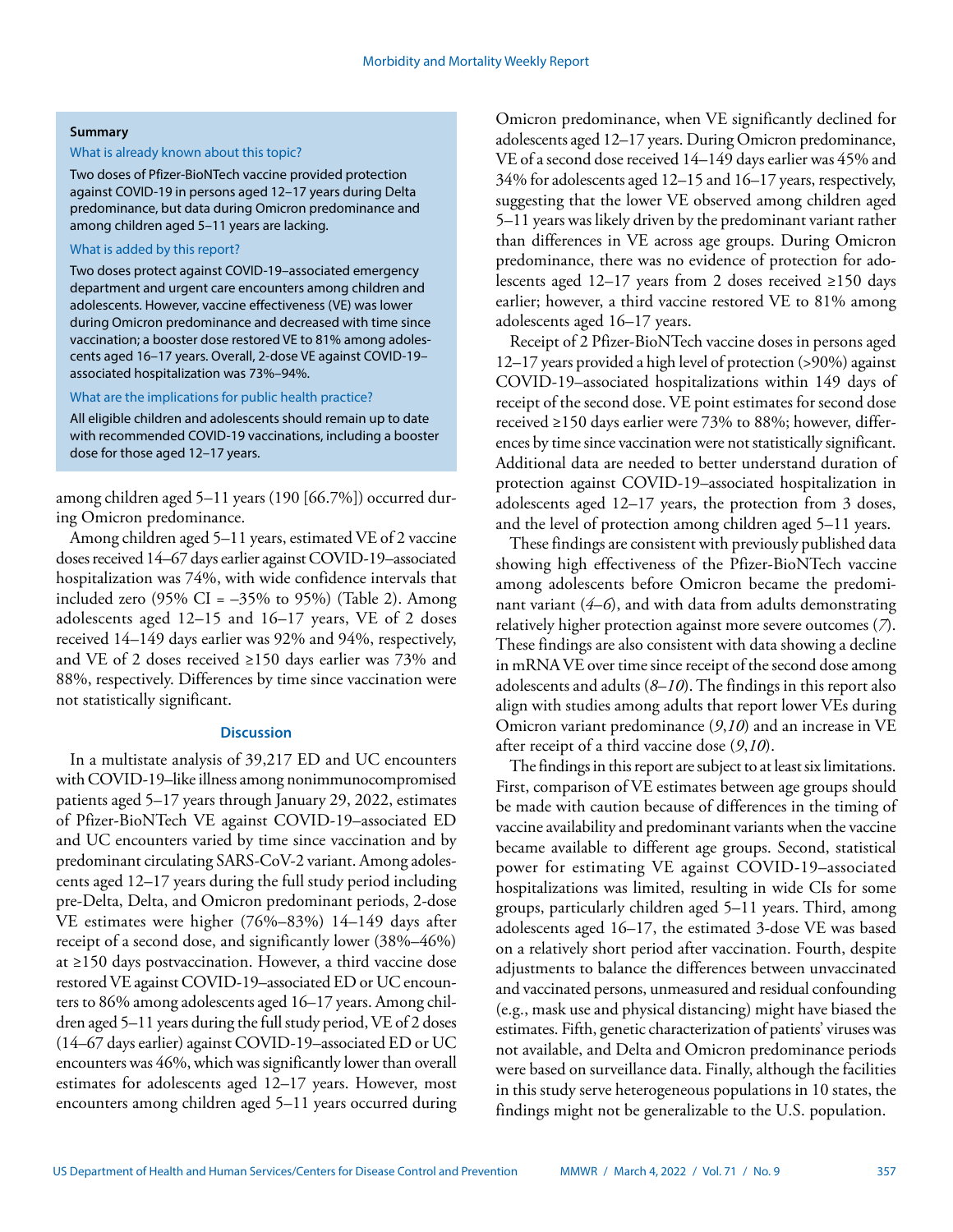#### **Summary**

#### What is already known about this topic?

Two doses of Pfizer-BioNTech vaccine provided protection against COVID-19 in persons aged 12–17 years during Delta predominance, but data during Omicron predominance and among children aged 5–11 years are lacking.

# What is added by this report?

Two doses protect against COVID-19–associated emergency department and urgent care encounters among children and adolescents. However, vaccine effectiveness (VE) was lower during Omicron predominance and decreased with time since vaccination; a booster dose restored VE to 81% among adolescents aged 16–17 years. Overall, 2-dose VE against COVID-19– associated hospitalization was 73%–94%.

## What are the implications for public health practice?

All eligible children and adolescents should remain up to date with recommended COVID-19 vaccinations, including a booster dose for those aged 12–17 years.

among children aged 5–11 years (190 [66.7%]) occurred during Omicron predominance.

Among children aged 5–11 years, estimated VE of 2 vaccine doses received 14–67 days earlier against COVID-19–associated hospitalization was 74%, with wide confidence intervals that included zero (95% CI =  $-35%$  to 95%) (Table 2). Among adolescents aged 12–15 and 16–17 years, VE of 2 doses received 14–149 days earlier was 92% and 94%, respectively, and VE of 2 doses received ≥150 days earlier was 73% and 88%, respectively. Differences by time since vaccination were not statistically significant.

## **Discussion**

In a multistate analysis of 39,217 ED and UC encounters with COVID-19–like illness among nonimmunocompromised patients aged 5–17 years through January 29, 2022, estimates of Pfizer-BioNTech VE against COVID-19–associated ED and UC encounters varied by time since vaccination and by predominant circulating SARS-CoV-2 variant. Among adolescents aged 12–17 years during the full study period including pre-Delta, Delta, and Omicron predominant periods, 2-dose VE estimates were higher (76%–83%) 14–149 days after receipt of a second dose, and significantly lower (38%–46%) at ≥150 days postvaccination. However, a third vaccine dose restored VE against COVID-19–associated ED or UC encounters to 86% among adolescents aged 16–17 years. Among children aged 5–11 years during the full study period, VE of 2 doses (14–67 days earlier) against COVID-19–associated ED or UC encounters was 46%, which was significantly lower than overall estimates for adolescents aged 12–17 years. However, most encounters among children aged 5–11 years occurred during

Omicron predominance, when VE significantly declined for adolescents aged 12–17 years. During Omicron predominance, VE of a second dose received 14–149 days earlier was 45% and 34% for adolescents aged 12–15 and 16–17 years, respectively, suggesting that the lower VE observed among children aged 5–11 years was likely driven by the predominant variant rather than differences in VE across age groups. During Omicron predominance, there was no evidence of protection for adolescents aged 12–17 years from 2 doses received ≥150 days earlier; however, a third vaccine restored VE to 81% among adolescents aged 16–17 years.

Receipt of 2 Pfizer-BioNTech vaccine doses in persons aged 12–17 years provided a high level of protection (>90%) against COVID-19–associated hospitalizations within 149 days of receipt of the second dose. VE point estimates for second dose received ≥150 days earlier were 73% to 88%; however, differences by time since vaccination were not statistically significant. Additional data are needed to better understand duration of protection against COVID-19–associated hospitalization in adolescents aged 12–17 years, the protection from 3 doses, and the level of protection among children aged 5–11 years.

These findings are consistent with previously published data showing high effectiveness of the Pfizer-BioNTech vaccine among adolescents before Omicron became the predominant variant (*4*–*6*), and with data from adults demonstrating relatively higher protection against more severe outcomes (*7*). These findings are also consistent with data showing a decline in mRNA VE over time since receipt of the second dose among adolescents and adults (*8*–*10*). The findings in this report also align with studies among adults that report lower VEs during Omicron variant predominance (*9*,*10*) and an increase in VE after receipt of a third vaccine dose (*9*,*10*).

The findings in this report are subject to at least six limitations. First, comparison of VE estimates between age groups should be made with caution because of differences in the timing of vaccine availability and predominant variants when the vaccine became available to different age groups. Second, statistical power for estimating VE against COVID-19–associated hospitalizations was limited, resulting in wide CIs for some groups, particularly children aged 5–11 years. Third, among adolescents aged 16–17, the estimated 3-dose VE was based on a relatively short period after vaccination. Fourth, despite adjustments to balance the differences between unvaccinated and vaccinated persons, unmeasured and residual confounding (e.g., mask use and physical distancing) might have biased the estimates. Fifth, genetic characterization of patients' viruses was not available, and Delta and Omicron predominance periods were based on surveillance data. Finally, although the facilities in this study serve heterogeneous populations in 10 states, the findings might not be generalizable to the U.S. population.